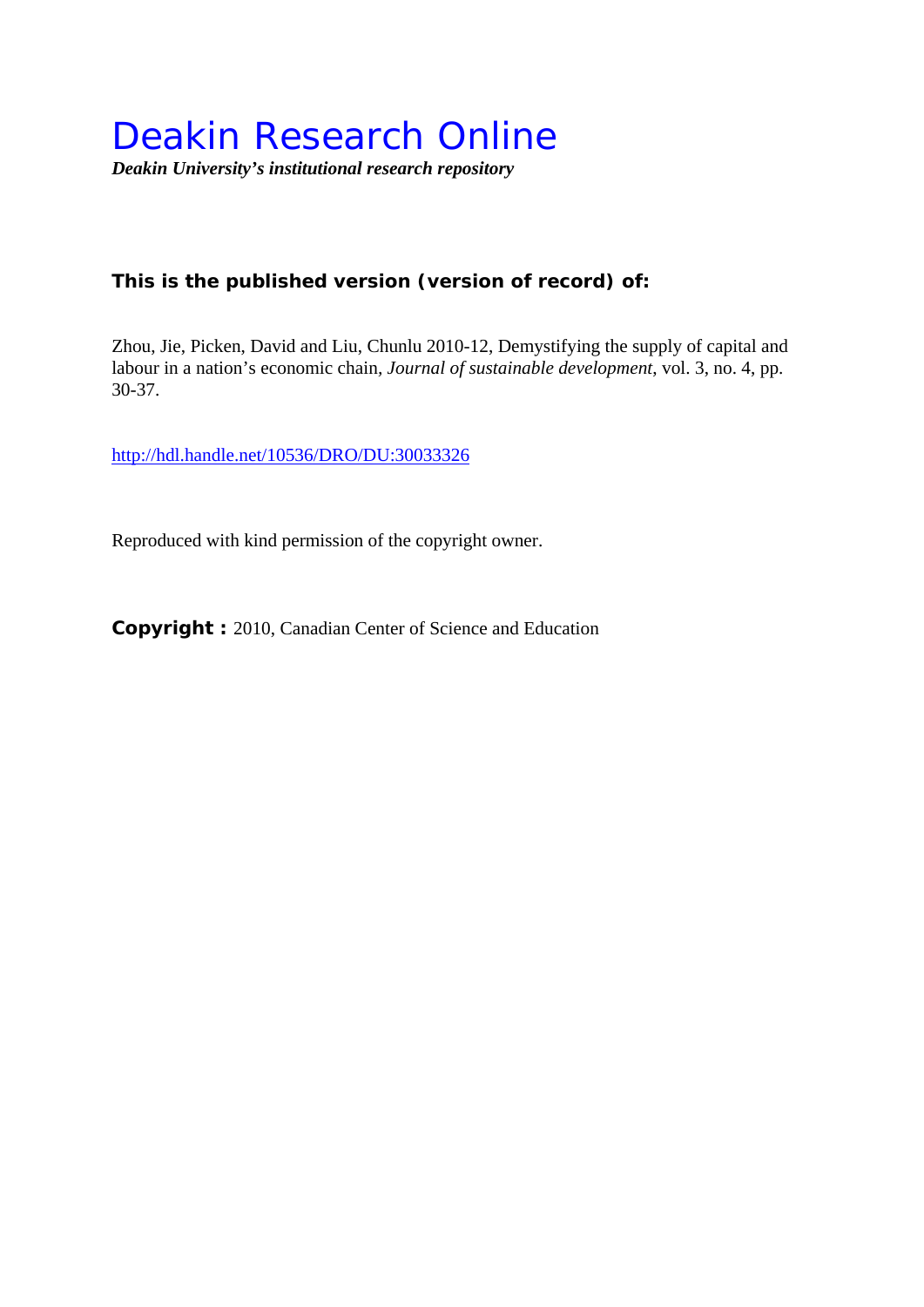# **This is the published version (version of record) of:**

Zhou, Jie, Picken, David and Liu, Chunlu 2010-12, Demystifying the supply of capital and labour in a nation's economic chain*, Journal of sustainable development*, vol. 3, no. 4, pp. 30-37.

http://hdl.handle.net/10536/DRO/DU:30033326

Reproduced with kind permission of the copyright owner.

**Copyright :** 2010, Canadian Center of Science and Education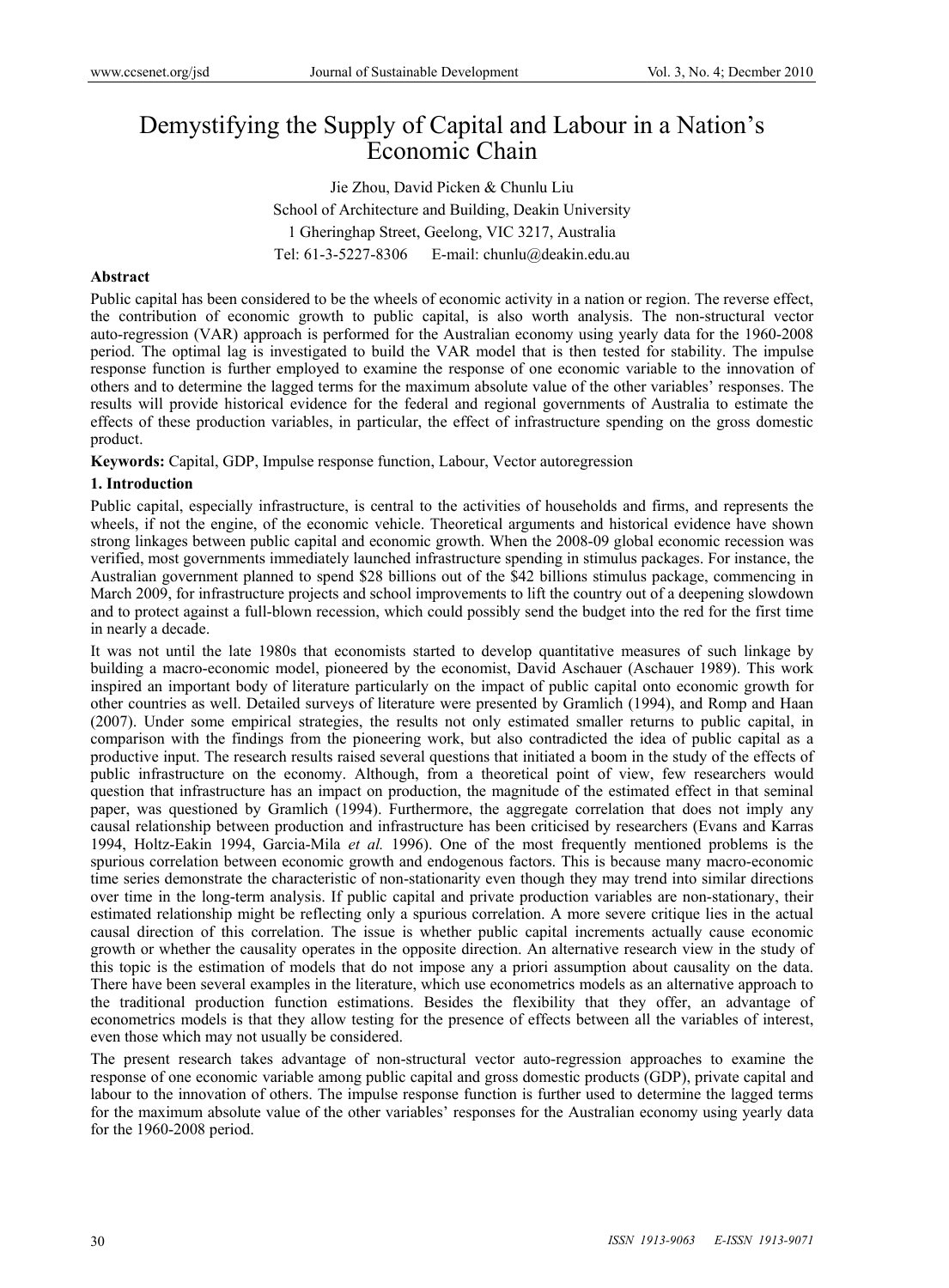# Demystifying the Supply of Capital and Labour in a Nation's Economic Chain

Jie Zhou, David Picken & Chunlu Liu School of Architecture and Building, Deakin University 1 Gheringhap Street, Geelong, VIC 3217, Australia Tel: 61-3-5227-8306 E-mail: chunlu@deakin.edu.au

#### **Abstract**

Public capital has been considered to be the wheels of economic activity in a nation or region. The reverse effect, the contribution of economic growth to public capital, is also worth analysis. The non-structural vector auto-regression (VAR) approach is performed for the Australian economy using yearly data for the 1960-2008 period. The optimal lag is investigated to build the VAR model that is then tested for stability. The impulse response function is further employed to examine the response of one economic variable to the innovation of others and to determine the lagged terms for the maximum absolute value of the other variables' responses. The results will provide historical evidence for the federal and regional governments of Australia to estimate the effects of these production variables, in particular, the effect of infrastructure spending on the gross domestic product.

**Keywords:** Capital, GDP, Impulse response function, Labour, Vector autoregression

#### **1. Introduction**

Public capital, especially infrastructure, is central to the activities of households and firms, and represents the wheels, if not the engine, of the economic vehicle. Theoretical arguments and historical evidence have shown strong linkages between public capital and economic growth. When the 2008-09 global economic recession was verified, most governments immediately launched infrastructure spending in stimulus packages. For instance, the Australian government planned to spend \$28 billions out of the \$42 billions stimulus package, commencing in March 2009, for infrastructure projects and school improvements to lift the country out of a deepening slowdown and to protect against a full-blown recession, which could possibly send the budget into the red for the first time in nearly a decade.

It was not until the late 1980s that economists started to develop quantitative measures of such linkage by building a macro-economic model, pioneered by the economist, David Aschauer (Aschauer 1989). This work inspired an important body of literature particularly on the impact of public capital onto economic growth for other countries as well. Detailed surveys of literature were presented by Gramlich (1994), and Romp and Haan (2007). Under some empirical strategies, the results not only estimated smaller returns to public capital, in comparison with the findings from the pioneering work, but also contradicted the idea of public capital as a productive input. The research results raised several questions that initiated a boom in the study of the effects of public infrastructure on the economy. Although, from a theoretical point of view, few researchers would question that infrastructure has an impact on production, the magnitude of the estimated effect in that seminal paper, was questioned by Gramlich (1994). Furthermore, the aggregate correlation that does not imply any causal relationship between production and infrastructure has been criticised by researchers (Evans and Karras 1994, Holtz-Eakin 1994, Garcia-Mila *et al.* 1996). One of the most frequently mentioned problems is the spurious correlation between economic growth and endogenous factors. This is because many macro-economic time series demonstrate the characteristic of non-stationarity even though they may trend into similar directions over time in the long-term analysis. If public capital and private production variables are non-stationary, their estimated relationship might be reflecting only a spurious correlation. A more severe critique lies in the actual causal direction of this correlation. The issue is whether public capital increments actually cause economic growth or whether the causality operates in the opposite direction. An alternative research view in the study of this topic is the estimation of models that do not impose any a priori assumption about causality on the data. There have been several examples in the literature, which use econometrics models as an alternative approach to the traditional production function estimations. Besides the flexibility that they offer, an advantage of econometrics models is that they allow testing for the presence of effects between all the variables of interest, even those which may not usually be considered.

The present research takes advantage of non-structural vector auto-regression approaches to examine the response of one economic variable among public capital and gross domestic products (GDP), private capital and labour to the innovation of others. The impulse response function is further used to determine the lagged terms for the maximum absolute value of the other variables' responses for the Australian economy using yearly data for the 1960-2008 period.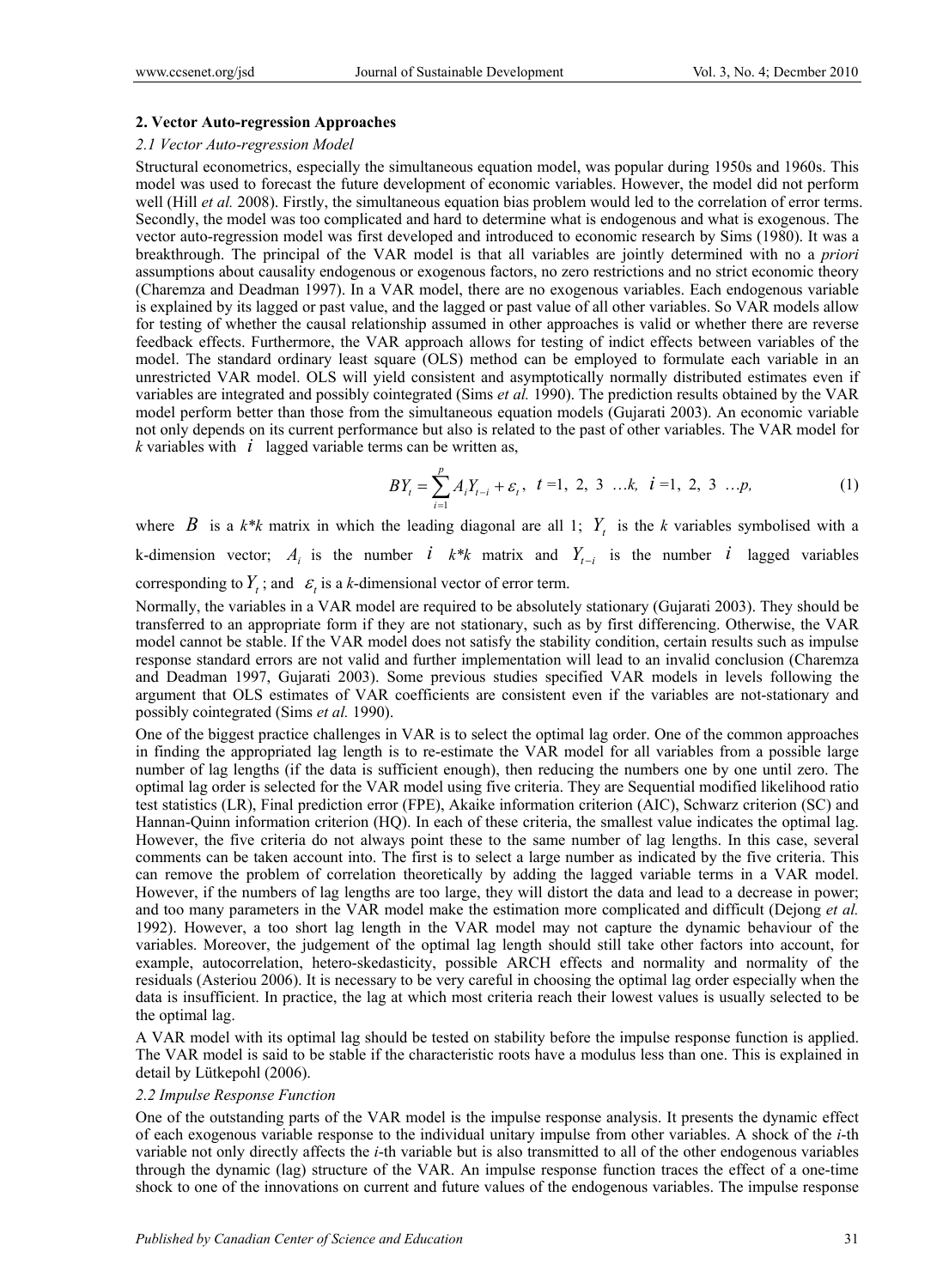#### **2. Vector Auto-regression Approaches**

#### *2.1 Vector Auto-regression Model*

Structural econometrics, especially the simultaneous equation model, was popular during 1950s and 1960s. This model was used to forecast the future development of economic variables. However, the model did not perform well (Hill *et al.* 2008). Firstly, the simultaneous equation bias problem would led to the correlation of error terms. Secondly, the model was too complicated and hard to determine what is endogenous and what is exogenous. The vector auto-regression model was first developed and introduced to economic research by Sims (1980). It was a breakthrough. The principal of the VAR model is that all variables are jointly determined with no a *priori* assumptions about causality endogenous or exogenous factors, no zero restrictions and no strict economic theory (Charemza and Deadman 1997). In a VAR model, there are no exogenous variables. Each endogenous variable is explained by its lagged or past value, and the lagged or past value of all other variables. So VAR models allow for testing of whether the causal relationship assumed in other approaches is valid or whether there are reverse feedback effects. Furthermore, the VAR approach allows for testing of indict effects between variables of the model. The standard ordinary least square (OLS) method can be employed to formulate each variable in an unrestricted VAR model. OLS will yield consistent and asymptotically normally distributed estimates even if variables are integrated and possibly cointegrated (Sims *et al.* 1990). The prediction results obtained by the VAR model perform better than those from the simultaneous equation models (Gujarati 2003). An economic variable not only depends on its current performance but also is related to the past of other variables. The VAR model for *k* variables with *i* lagged variable terms can be written as,

$$
BY_{t} = \sum_{i=1}^{p} A_{i}Y_{t-i} + \varepsilon_{t}, \quad t = 1, 2, 3 \dots k, \quad i = 1, 2, 3 \dots p,
$$
 (1)

where *B* is a  $k*k$  matrix in which the leading diagonal are all 1;  $Y_t$  is the *k* variables symbolised with a k-dimension vector;  $A_i$  is the number *i*  $k*k$  matrix and  $Y_{t-i}$  is the number *i* lagged variables

corresponding to  $Y_t$ ; and  $\varepsilon_t$  is a *k*-dimensional vector of error term.

Normally, the variables in a VAR model are required to be absolutely stationary (Gujarati 2003). They should be transferred to an appropriate form if they are not stationary, such as by first differencing. Otherwise, the VAR model cannot be stable. If the VAR model does not satisfy the stability condition, certain results such as impulse response standard errors are not valid and further implementation will lead to an invalid conclusion (Charemza and Deadman 1997, Gujarati 2003). Some previous studies specified VAR models in levels following the argument that OLS estimates of VAR coefficients are consistent even if the variables are not-stationary and possibly cointegrated (Sims *et al.* 1990).

One of the biggest practice challenges in VAR is to select the optimal lag order. One of the common approaches in finding the appropriated lag length is to re-estimate the VAR model for all variables from a possible large number of lag lengths (if the data is sufficient enough), then reducing the numbers one by one until zero. The optimal lag order is selected for the VAR model using five criteria. They are Sequential modified likelihood ratio test statistics (LR), Final prediction error (FPE), Akaike information criterion (AIC), Schwarz criterion (SC) and Hannan-Quinn information criterion (HQ). In each of these criteria, the smallest value indicates the optimal lag. However, the five criteria do not always point these to the same number of lag lengths. In this case, several comments can be taken account into. The first is to select a large number as indicated by the five criteria. This can remove the problem of correlation theoretically by adding the lagged variable terms in a VAR model. However, if the numbers of lag lengths are too large, they will distort the data and lead to a decrease in power; and too many parameters in the VAR model make the estimation more complicated and difficult (Dejong *et al.* 1992). However, a too short lag length in the VAR model may not capture the dynamic behaviour of the variables. Moreover, the judgement of the optimal lag length should still take other factors into account, for example, autocorrelation, hetero-skedasticity, possible ARCH effects and normality and normality of the residuals (Asteriou 2006). It is necessary to be very careful in choosing the optimal lag order especially when the data is insufficient. In practice, the lag at which most criteria reach their lowest values is usually selected to be the optimal lag.

A VAR model with its optimal lag should be tested on stability before the impulse response function is applied. The VAR model is said to be stable if the characteristic roots have a modulus less than one. This is explained in detail by Lütkepohl (2006).

#### *2.2 Impulse Response Function*

One of the outstanding parts of the VAR model is the impulse response analysis. It presents the dynamic effect of each exogenous variable response to the individual unitary impulse from other variables. A shock of the *i*-th variable not only directly affects the *i*-th variable but is also transmitted to all of the other endogenous variables through the dynamic (lag) structure of the VAR. An impulse response function traces the effect of a one-time shock to one of the innovations on current and future values of the endogenous variables. The impulse response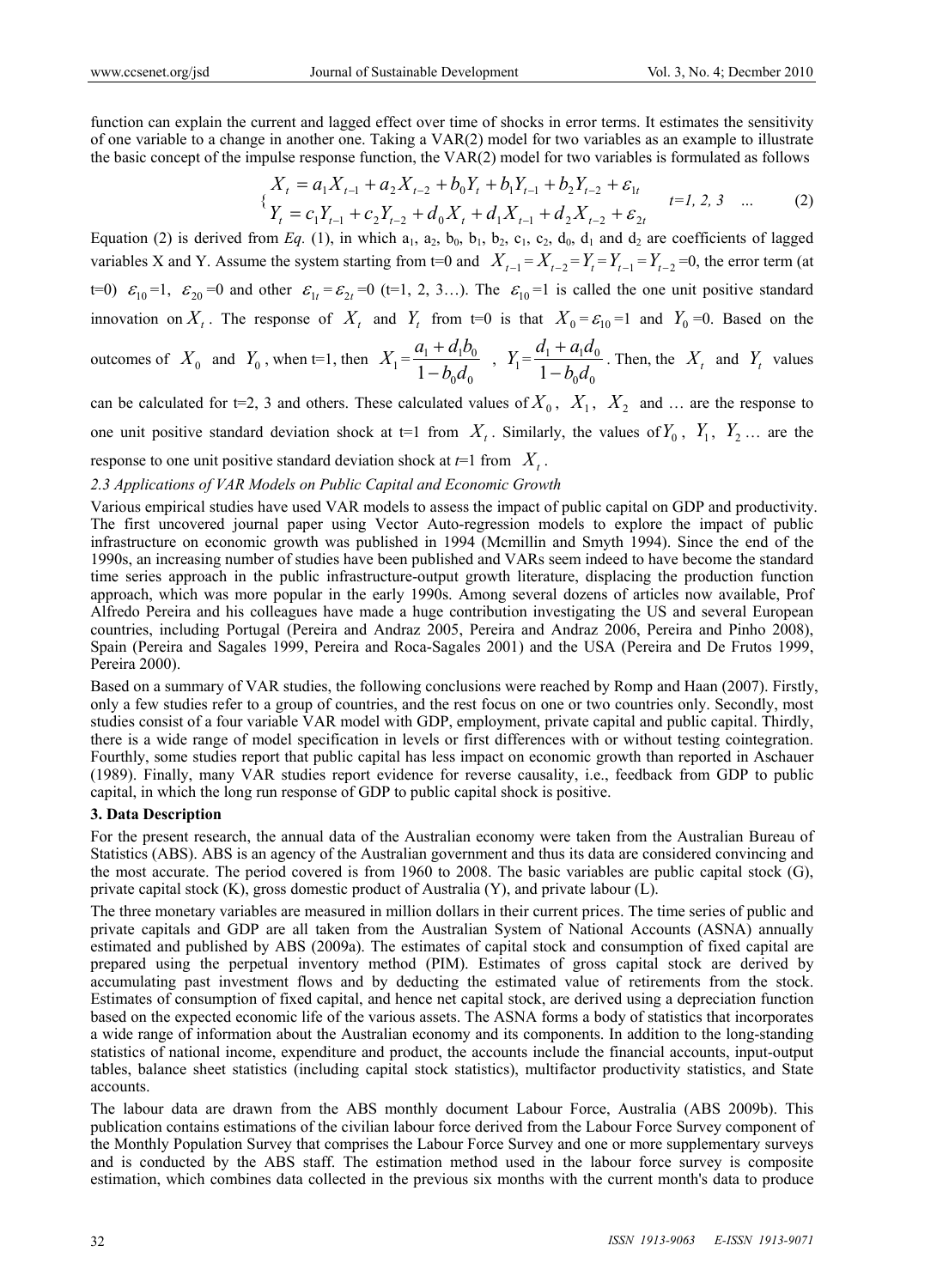function can explain the current and lagged effect over time of shocks in error terms. It estimates the sensitivity of one variable to a change in another one. Taking a VAR(2) model for two variables as an example to illustrate the basic concept of the impulse response function, the VAR(2) model for two variables is formulated as follows

$$
\begin{aligned}\nX_t &= a_1 X_{t-1} + a_2 X_{t-2} + b_0 Y_t + b_1 Y_{t-1} + b_2 Y_{t-2} + \varepsilon_{1t} \\
Y_t &= c_1 Y_{t-1} + c_2 Y_{t-2} + d_0 X_t + d_1 X_{t-1} + d_2 X_{t-2} + \varepsilon_{2t}\n\end{aligned}\n\tag{2}
$$

Equation (2) is derived from *Eq.* (1), in which  $a_1$ ,  $a_2$ ,  $b_0$ ,  $b_1$ ,  $b_2$ ,  $c_1$ ,  $c_2$ ,  $d_0$ ,  $d_1$  and  $d_2$  are coefficients of lagged variables X and Y. Assume the system starting from t=0 and  $X_{t-1} = X_{t-2} = Y_t = Y_{t-1} = Y_{t-2} = 0$ , the error term (at  $t=0$ )  $\varepsilon_{10} =1$ ,  $\varepsilon_{20} =0$  and other  $\varepsilon_{1t} = \varepsilon_{2t} =0$  (t=1, 2, 3…). The  $\varepsilon_{10} =1$  is called the one unit positive standard innovation on  $X_t$ . The response of  $X_t$  and  $Y_t$  from t=0 is that  $X_0 = \varepsilon_{10} = 1$  and  $Y_0 = 0$ . Based on the

outcomes of 
$$
X_0
$$
 and  $Y_0$ , when t=1, then  $X_1 = \frac{a_1 + d_1 b_0}{1 - b_0 d_0}$ ,  $Y_1 = \frac{d_1 + a_1 d_0}{1 - b_0 d_0}$ . Then, the  $X_t$  and  $Y_t$  values

can be calculated for t=2, 3 and others. These calculated values of  $X_0$ ,  $X_1$ ,  $X_2$  and ... are the response to one unit positive standard deviation shock at  $t=1$  from  $X_t$ . Similarly, the values of  $Y_0$ ,  $Y_1$ ,  $Y_2$  ... are the response to one unit positive standard deviation shock at  $t=1$  from  $X_t$ .

# *2.3 Applications of VAR Models on Public Capital and Economic Growth*

Various empirical studies have used VAR models to assess the impact of public capital on GDP and productivity. The first uncovered journal paper using Vector Auto-regression models to explore the impact of public infrastructure on economic growth was published in 1994 (Mcmillin and Smyth 1994). Since the end of the 1990s, an increasing number of studies have been published and VARs seem indeed to have become the standard time series approach in the public infrastructure-output growth literature, displacing the production function approach, which was more popular in the early 1990s. Among several dozens of articles now available, Prof Alfredo Pereira and his colleagues have made a huge contribution investigating the US and several European countries, including Portugal (Pereira and Andraz 2005, Pereira and Andraz 2006, Pereira and Pinho 2008), Spain (Pereira and Sagales 1999, Pereira and Roca-Sagales 2001) and the USA (Pereira and De Frutos 1999, Pereira 2000).

Based on a summary of VAR studies, the following conclusions were reached by Romp and Haan (2007). Firstly, only a few studies refer to a group of countries, and the rest focus on one or two countries only. Secondly, most studies consist of a four variable VAR model with GDP, employment, private capital and public capital. Thirdly, there is a wide range of model specification in levels or first differences with or without testing cointegration. Fourthly, some studies report that public capital has less impact on economic growth than reported in Aschauer (1989). Finally, many VAR studies report evidence for reverse causality, i.e., feedback from GDP to public capital, in which the long run response of GDP to public capital shock is positive.

#### **3. Data Description**

For the present research, the annual data of the Australian economy were taken from the Australian Bureau of Statistics (ABS). ABS is an agency of the Australian government and thus its data are considered convincing and the most accurate. The period covered is from 1960 to 2008. The basic variables are public capital stock (G), private capital stock (K), gross domestic product of Australia (Y), and private labour (L).

The three monetary variables are measured in million dollars in their current prices. The time series of public and private capitals and GDP are all taken from the Australian System of National Accounts (ASNA) annually estimated and published by ABS (2009a). The estimates of capital stock and consumption of fixed capital are prepared using the perpetual inventory method (PIM). Estimates of gross capital stock are derived by accumulating past investment flows and by deducting the estimated value of retirements from the stock. Estimates of consumption of fixed capital, and hence net capital stock, are derived using a depreciation function based on the expected economic life of the various assets. The ASNA forms a body of statistics that incorporates a wide range of information about the Australian economy and its components. In addition to the long-standing statistics of national income, expenditure and product, the accounts include the financial accounts, input-output tables, balance sheet statistics (including capital stock statistics), multifactor productivity statistics, and State accounts.

The labour data are drawn from the ABS monthly document Labour Force, Australia (ABS 2009b). This publication contains estimations of the civilian labour force derived from the Labour Force Survey component of the Monthly Population Survey that comprises the Labour Force Survey and one or more supplementary surveys and is conducted by the ABS staff. The estimation method used in the labour force survey is composite estimation, which combines data collected in the previous six months with the current month's data to produce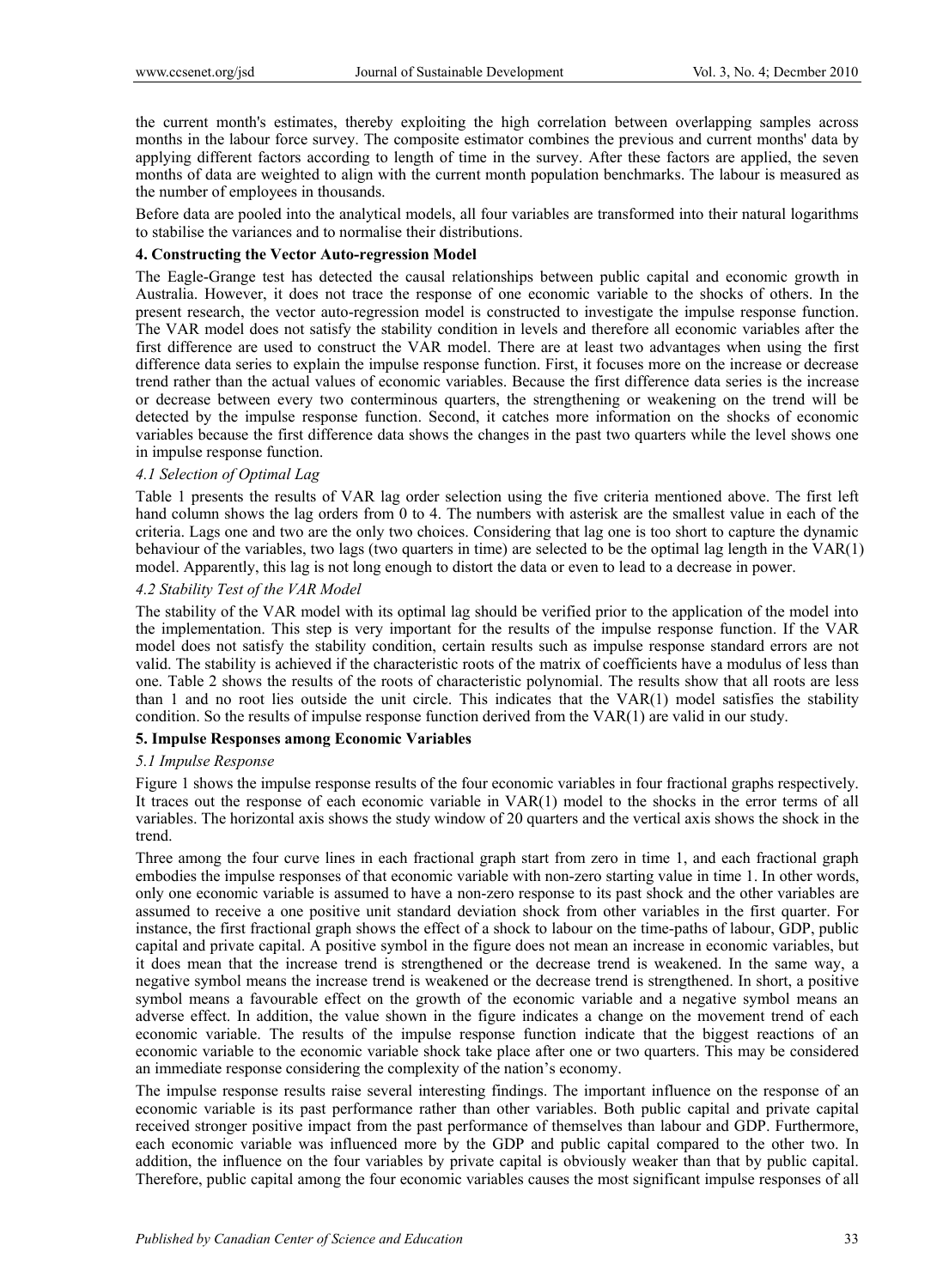the current month's estimates, thereby exploiting the high correlation between overlapping samples across months in the labour force survey. The composite estimator combines the previous and current months' data by applying different factors according to length of time in the survey. After these factors are applied, the seven months of data are weighted to align with the current month population benchmarks. The labour is measured as the number of employees in thousands.

Before data are pooled into the analytical models, all four variables are transformed into their natural logarithms to stabilise the variances and to normalise their distributions.

#### **4. Constructing the Vector Auto-regression Model**

The Eagle-Grange test has detected the causal relationships between public capital and economic growth in Australia. However, it does not trace the response of one economic variable to the shocks of others. In the present research, the vector auto-regression model is constructed to investigate the impulse response function. The VAR model does not satisfy the stability condition in levels and therefore all economic variables after the first difference are used to construct the VAR model. There are at least two advantages when using the first difference data series to explain the impulse response function. First, it focuses more on the increase or decrease trend rather than the actual values of economic variables. Because the first difference data series is the increase or decrease between every two conterminous quarters, the strengthening or weakening on the trend will be detected by the impulse response function. Second, it catches more information on the shocks of economic variables because the first difference data shows the changes in the past two quarters while the level shows one in impulse response function.

# *4.1 Selection of Optimal Lag*

Table 1 presents the results of VAR lag order selection using the five criteria mentioned above. The first left hand column shows the lag orders from 0 to 4. The numbers with asterisk are the smallest value in each of the criteria. Lags one and two are the only two choices. Considering that lag one is too short to capture the dynamic behaviour of the variables, two lags (two quarters in time) are selected to be the optimal lag length in the VAR(1) model. Apparently, this lag is not long enough to distort the data or even to lead to a decrease in power.

### *4.2 Stability Test of the VAR Model*

The stability of the VAR model with its optimal lag should be verified prior to the application of the model into the implementation. This step is very important for the results of the impulse response function. If the VAR model does not satisfy the stability condition, certain results such as impulse response standard errors are not valid. The stability is achieved if the characteristic roots of the matrix of coefficients have a modulus of less than one. Table 2 shows the results of the roots of characteristic polynomial. The results show that all roots are less than 1 and no root lies outside the unit circle. This indicates that the VAR(1) model satisfies the stability condition. So the results of impulse response function derived from the VAR(1) are valid in our study.

# **5. Impulse Responses among Economic Variables**

#### *5.1 Impulse Response*

Figure 1 shows the impulse response results of the four economic variables in four fractional graphs respectively. It traces out the response of each economic variable in VAR(1) model to the shocks in the error terms of all variables. The horizontal axis shows the study window of 20 quarters and the vertical axis shows the shock in the trend.

Three among the four curve lines in each fractional graph start from zero in time 1, and each fractional graph embodies the impulse responses of that economic variable with non-zero starting value in time 1. In other words, only one economic variable is assumed to have a non-zero response to its past shock and the other variables are assumed to receive a one positive unit standard deviation shock from other variables in the first quarter. For instance, the first fractional graph shows the effect of a shock to labour on the time-paths of labour, GDP, public capital and private capital. A positive symbol in the figure does not mean an increase in economic variables, but it does mean that the increase trend is strengthened or the decrease trend is weakened. In the same way, a negative symbol means the increase trend is weakened or the decrease trend is strengthened. In short, a positive symbol means a favourable effect on the growth of the economic variable and a negative symbol means an adverse effect. In addition, the value shown in the figure indicates a change on the movement trend of each economic variable. The results of the impulse response function indicate that the biggest reactions of an economic variable to the economic variable shock take place after one or two quarters. This may be considered an immediate response considering the complexity of the nation's economy.

The impulse response results raise several interesting findings. The important influence on the response of an economic variable is its past performance rather than other variables. Both public capital and private capital received stronger positive impact from the past performance of themselves than labour and GDP. Furthermore, each economic variable was influenced more by the GDP and public capital compared to the other two. In addition, the influence on the four variables by private capital is obviously weaker than that by public capital. Therefore, public capital among the four economic variables causes the most significant impulse responses of all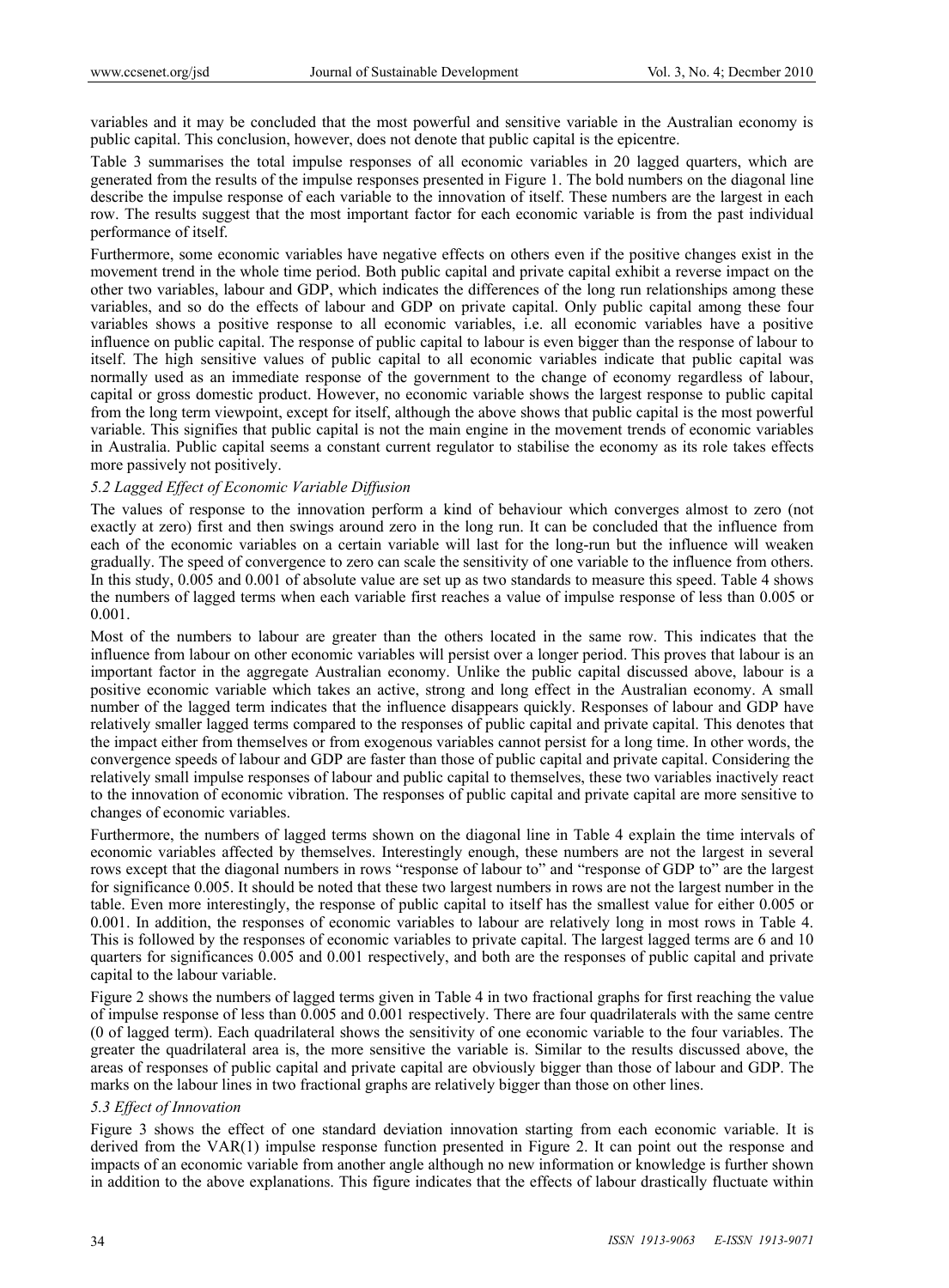variables and it may be concluded that the most powerful and sensitive variable in the Australian economy is public capital. This conclusion, however, does not denote that public capital is the epicentre.

Table 3 summarises the total impulse responses of all economic variables in 20 lagged quarters, which are generated from the results of the impulse responses presented in Figure 1. The bold numbers on the diagonal line describe the impulse response of each variable to the innovation of itself. These numbers are the largest in each row. The results suggest that the most important factor for each economic variable is from the past individual performance of itself.

Furthermore, some economic variables have negative effects on others even if the positive changes exist in the movement trend in the whole time period. Both public capital and private capital exhibit a reverse impact on the other two variables, labour and GDP, which indicates the differences of the long run relationships among these variables, and so do the effects of labour and GDP on private capital. Only public capital among these four variables shows a positive response to all economic variables, i.e. all economic variables have a positive influence on public capital. The response of public capital to labour is even bigger than the response of labour to itself. The high sensitive values of public capital to all economic variables indicate that public capital was normally used as an immediate response of the government to the change of economy regardless of labour, capital or gross domestic product. However, no economic variable shows the largest response to public capital from the long term viewpoint, except for itself, although the above shows that public capital is the most powerful variable. This signifies that public capital is not the main engine in the movement trends of economic variables in Australia. Public capital seems a constant current regulator to stabilise the economy as its role takes effects more passively not positively.

#### *5.2 Lagged Effect of Economic Variable Diffusion*

The values of response to the innovation perform a kind of behaviour which converges almost to zero (not exactly at zero) first and then swings around zero in the long run. It can be concluded that the influence from each of the economic variables on a certain variable will last for the long-run but the influence will weaken gradually. The speed of convergence to zero can scale the sensitivity of one variable to the influence from others. In this study, 0.005 and 0.001 of absolute value are set up as two standards to measure this speed. Table 4 shows the numbers of lagged terms when each variable first reaches a value of impulse response of less than 0.005 or 0.001.

Most of the numbers to labour are greater than the others located in the same row. This indicates that the influence from labour on other economic variables will persist over a longer period. This proves that labour is an important factor in the aggregate Australian economy. Unlike the public capital discussed above, labour is a positive economic variable which takes an active, strong and long effect in the Australian economy. A small number of the lagged term indicates that the influence disappears quickly. Responses of labour and GDP have relatively smaller lagged terms compared to the responses of public capital and private capital. This denotes that the impact either from themselves or from exogenous variables cannot persist for a long time. In other words, the convergence speeds of labour and GDP are faster than those of public capital and private capital. Considering the relatively small impulse responses of labour and public capital to themselves, these two variables inactively react to the innovation of economic vibration. The responses of public capital and private capital are more sensitive to changes of economic variables.

Furthermore, the numbers of lagged terms shown on the diagonal line in Table 4 explain the time intervals of economic variables affected by themselves. Interestingly enough, these numbers are not the largest in several rows except that the diagonal numbers in rows "response of labour to" and "response of GDP to" are the largest for significance 0.005. It should be noted that these two largest numbers in rows are not the largest number in the table. Even more interestingly, the response of public capital to itself has the smallest value for either 0.005 or 0.001. In addition, the responses of economic variables to labour are relatively long in most rows in Table 4. This is followed by the responses of economic variables to private capital. The largest lagged terms are 6 and 10 quarters for significances 0.005 and 0.001 respectively, and both are the responses of public capital and private capital to the labour variable.

Figure 2 shows the numbers of lagged terms given in Table 4 in two fractional graphs for first reaching the value of impulse response of less than 0.005 and 0.001 respectively. There are four quadrilaterals with the same centre (0 of lagged term). Each quadrilateral shows the sensitivity of one economic variable to the four variables. The greater the quadrilateral area is, the more sensitive the variable is. Similar to the results discussed above, the areas of responses of public capital and private capital are obviously bigger than those of labour and GDP. The marks on the labour lines in two fractional graphs are relatively bigger than those on other lines.

# *5.3 Effect of Innovation*

Figure 3 shows the effect of one standard deviation innovation starting from each economic variable. It is derived from the VAR(1) impulse response function presented in Figure 2. It can point out the response and impacts of an economic variable from another angle although no new information or knowledge is further shown in addition to the above explanations. This figure indicates that the effects of labour drastically fluctuate within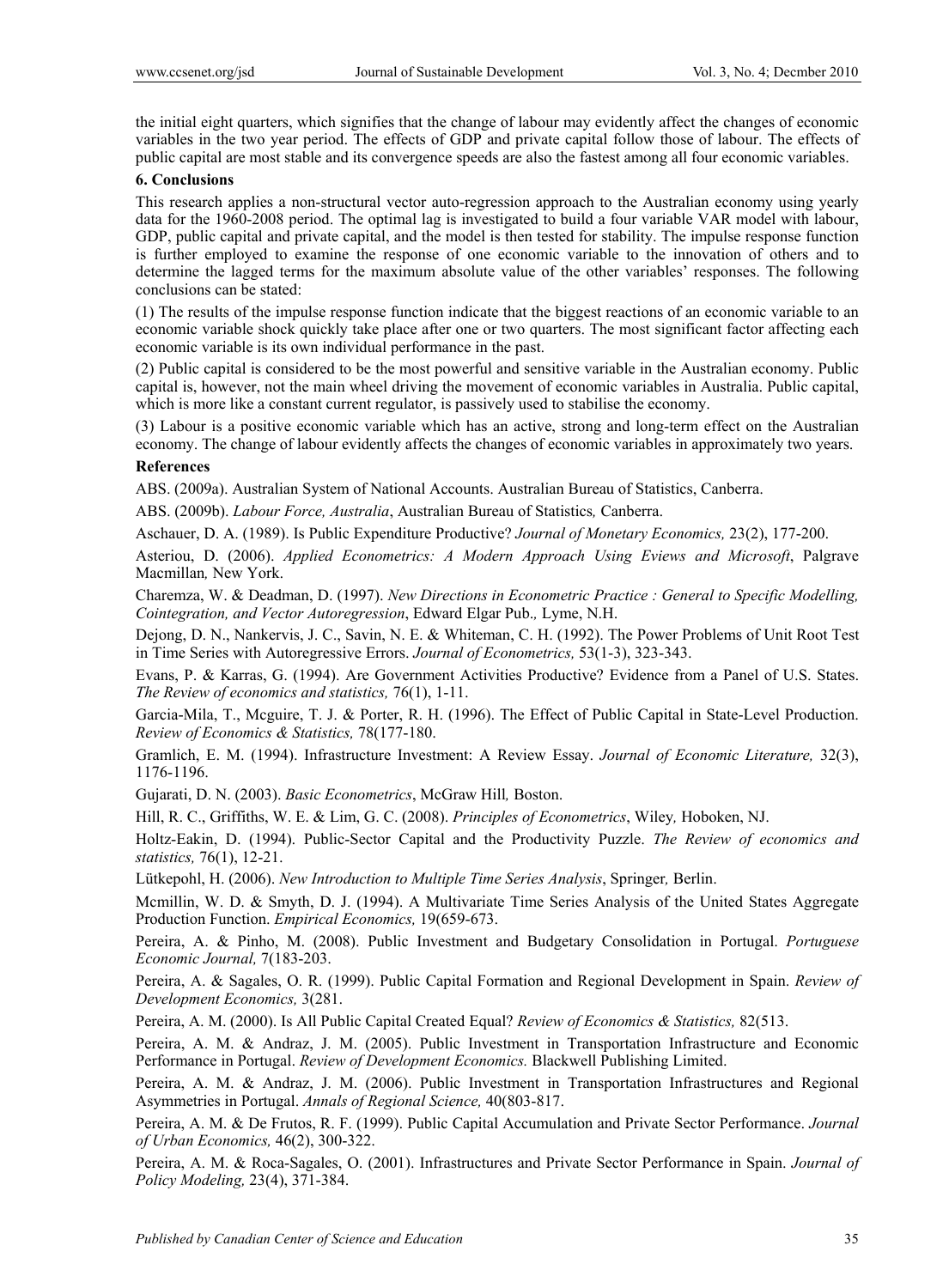the initial eight quarters, which signifies that the change of labour may evidently affect the changes of economic variables in the two year period. The effects of GDP and private capital follow those of labour. The effects of public capital are most stable and its convergence speeds are also the fastest among all four economic variables.

# **6. Conclusions**

This research applies a non-structural vector auto-regression approach to the Australian economy using yearly data for the 1960-2008 period. The optimal lag is investigated to build a four variable VAR model with labour, GDP, public capital and private capital, and the model is then tested for stability. The impulse response function is further employed to examine the response of one economic variable to the innovation of others and to determine the lagged terms for the maximum absolute value of the other variables' responses. The following conclusions can be stated:

(1) The results of the impulse response function indicate that the biggest reactions of an economic variable to an economic variable shock quickly take place after one or two quarters. The most significant factor affecting each economic variable is its own individual performance in the past.

(2) Public capital is considered to be the most powerful and sensitive variable in the Australian economy. Public capital is, however, not the main wheel driving the movement of economic variables in Australia. Public capital, which is more like a constant current regulator, is passively used to stabilise the economy.

(3) Labour is a positive economic variable which has an active, strong and long-term effect on the Australian economy. The change of labour evidently affects the changes of economic variables in approximately two years.

#### **References**

ABS. (2009a). Australian System of National Accounts. Australian Bureau of Statistics, Canberra.

ABS. (2009b). *Labour Force, Australia*, Australian Bureau of Statistics*,* Canberra.

Aschauer, D. A. (1989). Is Public Expenditure Productive? *Journal of Monetary Economics,* 23(2), 177-200.

Asteriou, D. (2006). *Applied Econometrics: A Modern Approach Using Eviews and Microsoft*, Palgrave Macmillan*,* New York.

Charemza, W. & Deadman, D. (1997). *New Directions in Econometric Practice : General to Specific Modelling, Cointegration, and Vector Autoregression*, Edward Elgar Pub.*,* Lyme, N.H.

Dejong, D. N., Nankervis, J. C., Savin, N. E. & Whiteman, C. H. (1992). The Power Problems of Unit Root Test in Time Series with Autoregressive Errors. *Journal of Econometrics,* 53(1-3), 323-343.

Evans, P. & Karras, G. (1994). Are Government Activities Productive? Evidence from a Panel of U.S. States. *The Review of economics and statistics,* 76(1), 1-11.

Garcia-Mila, T., Mcguire, T. J. & Porter, R. H. (1996). The Effect of Public Capital in State-Level Production. *Review of Economics & Statistics,* 78(177-180.

Gramlich, E. M. (1994). Infrastructure Investment: A Review Essay. *Journal of Economic Literature,* 32(3), 1176-1196.

Gujarati, D. N. (2003). *Basic Econometrics*, McGraw Hill*,* Boston.

Hill, R. C., Griffiths, W. E. & Lim, G. C. (2008). *Principles of Econometrics*, Wiley*,* Hoboken, NJ.

Holtz-Eakin, D. (1994). Public-Sector Capital and the Productivity Puzzle. *The Review of economics and statistics,* 76(1), 12-21.

Lütkepohl, H. (2006). *New Introduction to Multiple Time Series Analysis*, Springer*,* Berlin.

Mcmillin, W. D. & Smyth, D. J. (1994). A Multivariate Time Series Analysis of the United States Aggregate Production Function. *Empirical Economics,* 19(659-673.

Pereira, A. & Pinho, M. (2008). Public Investment and Budgetary Consolidation in Portugal. *Portuguese Economic Journal,* 7(183-203.

Pereira, A. & Sagales, O. R. (1999). Public Capital Formation and Regional Development in Spain. *Review of Development Economics,* 3(281.

Pereira, A. M. (2000). Is All Public Capital Created Equal? *Review of Economics & Statistics,* 82(513.

Pereira, A. M. & Andraz, J. M. (2005). Public Investment in Transportation Infrastructure and Economic Performance in Portugal. *Review of Development Economics.* Blackwell Publishing Limited.

Pereira, A. M. & Andraz, J. M. (2006). Public Investment in Transportation Infrastructures and Regional Asymmetries in Portugal. *Annals of Regional Science,* 40(803-817.

Pereira, A. M. & De Frutos, R. F. (1999). Public Capital Accumulation and Private Sector Performance. *Journal of Urban Economics,* 46(2), 300-322.

Pereira, A. M. & Roca-Sagales, O. (2001). Infrastructures and Private Sector Performance in Spain. *Journal of Policy Modeling,* 23(4), 371-384.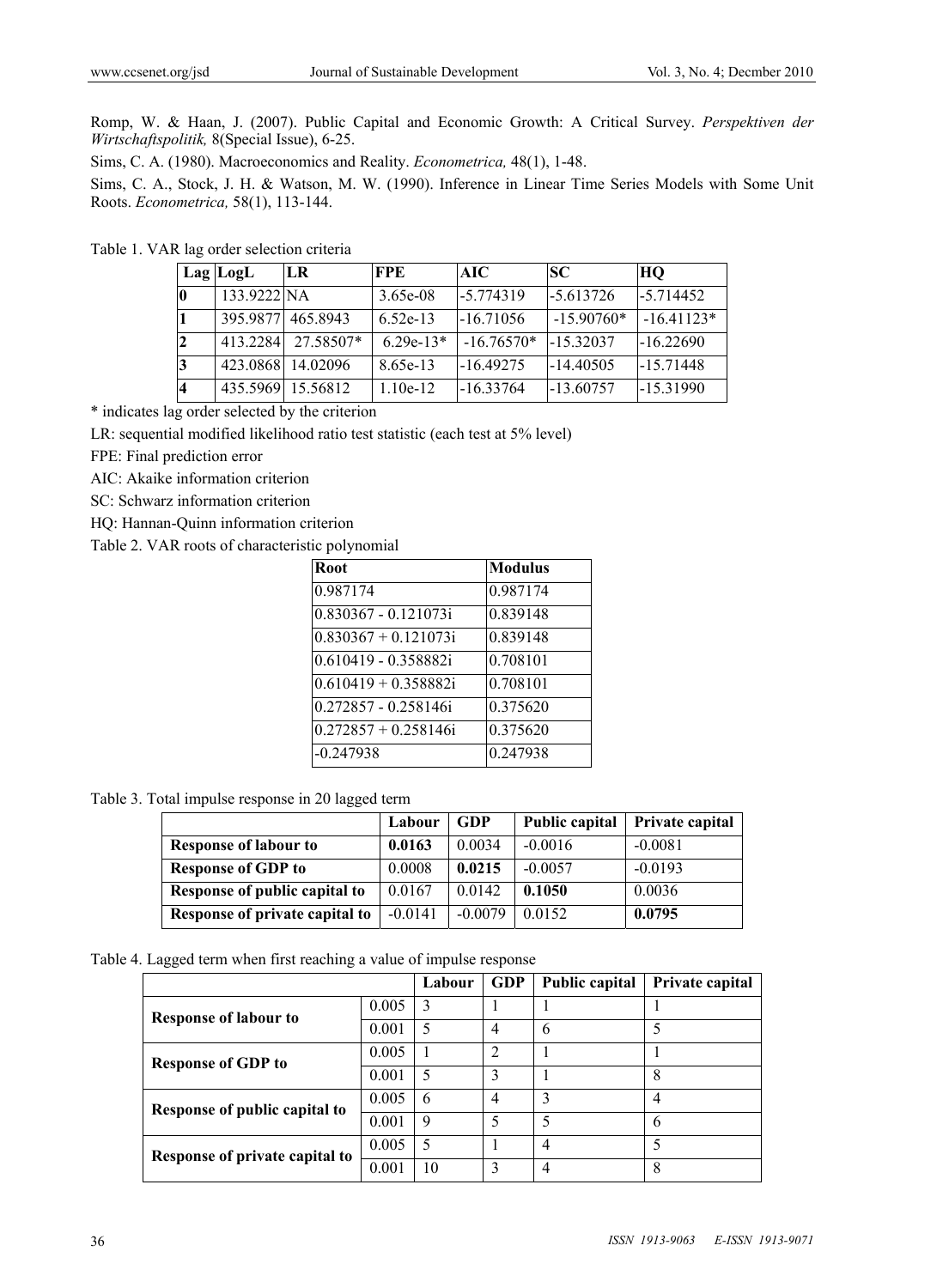Romp, W. & Haan, J. (2007). Public Capital and Economic Growth: A Critical Survey. *Perspektiven der Wirtschaftspolitik,* 8(Special Issue), 6-25.

Sims, C. A. (1980). Macroeconomics and Reality. *Econometrica,* 48(1), 1-48.

Sims, C. A., Stock, J. H. & Watson, M. W. (1990). Inference in Linear Time Series Models with Some Unit Roots. *Econometrica,* 58(1), 113-144.

Table 1. VAR lag order selection criteria

|    | $Lag$ $LogL$      | LR                | <b>FPE</b>  | AIC          | SC.          | HQ           |
|----|-------------------|-------------------|-------------|--------------|--------------|--------------|
| 10 | 133.9222 NA       |                   | $3.65e-08$  | $-5.774319$  | $-5.613726$  | $-5.714452$  |
|    | 395.9877 465.8943 |                   | 6.52e-13    | $-16.71056$  | $-15.90760*$ | $-16.41123*$ |
| 12 | 413.2284          | 27.58507*         | $6.29e-13*$ | $-16.76570*$ | -15.32037    | $-16.22690$  |
| 3  |                   | 423.0868 14.02096 | 8.65e-13    | -16 49275    | $-14.40505$  | $-15.71448$  |
|    |                   | 435.5969 15.56812 | $1.10e-12$  | $-1633764$   | $-13.60757$  | -15.31990    |

\* indicates lag order selected by the criterion

LR: sequential modified likelihood ratio test statistic (each test at 5% level)

FPE: Final prediction error

AIC: Akaike information criterion

SC: Schwarz information criterion

HQ: Hannan-Quinn information criterion

Table 2. VAR roots of characteristic polynomial

| Root                   | <b>Modulus</b> |
|------------------------|----------------|
| 0.987174               | 0.987174       |
| 0.830367 - 0.121073i   | 0.839148       |
| $0.830367 + 0.121073i$ | 0.839148       |
| 0.610419 - 0.358882i   | 0.708101       |
| $0.610419 + 0.358882i$ | 0.708101       |
| 0.272857 - 0.258146i   | 0.375620       |
| $0.272857 + 0.258146i$ | 0.375620       |
| $-0.247938$            | 0.247938       |

Table 3. Total impulse response in 20 lagged term

|                                | Labour    | <b>GDP</b> | Public capital | Private capital |
|--------------------------------|-----------|------------|----------------|-----------------|
| <b>Response of labour to</b>   | 0.0163    | 0.0034     | $-0.0016$      | $-0.0081$       |
| <b>Response of GDP to</b>      | 0.0008    | 0.0215     | $-0.0057$      | $-0.0193$       |
| Response of public capital to  | 0.0167    | 0.0142     | 0.1050         | 0.0036          |
| Response of private capital to | $-0.0141$ | $-0.0079$  | 0.0152         | 0.0795          |

Table 4. Lagged term when first reaching a value of impulse response

|                                |       | Labour | <b>GDP</b>     | Public capital | Private capital |
|--------------------------------|-------|--------|----------------|----------------|-----------------|
| <b>Response of labour to</b>   | 0.005 | 3      |                |                |                 |
|                                | 0.001 | 5      | 4              | 6              |                 |
| <b>Response of GDP to</b>      | 0.005 |        | $\overline{2}$ |                |                 |
|                                | 0.001 | 5      | 3              |                | 8               |
| Response of public capital to  | 0.005 | 6      | 4              | 3              | 4               |
|                                | 0.001 | 9      | 5              | 5              | 6               |
| Response of private capital to | 0.005 | 5      |                | 4              |                 |
|                                | 0.001 | 10     | 3              | 4              | 8               |